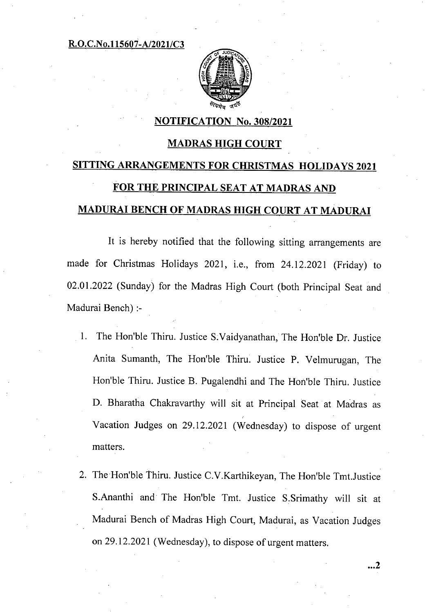#### R.O.C.No.115607-A/2021/C3



#### NOTIFICATION No. 308/2021

### MADRAS HIGH COURT

# SITTING ARRANGEMENTS FOR CHRISTMAS HOLIDAYS 2021 FOR THE PRINCIPAL SEAT AT MADRAS AND MADURAI BENCH OF MADRAS HIGH COURT AT MADURAI

It is hereby notified that the following sitting arrangements are made for Christmas Holidays 2021, i.e., from 24.12.2021 (Friday) to 02.01.2022 (Sunday) for the Madras High Court (both Principal Seat and Madurai Bench) :-

- The Hon'ble Thiru. Justice S.Vaidyanathan, The Hon'ble Dr. Justice  $1_{-}$ Anita Sumanth, The Hon'ble Thiru. Justice P. Velmurugan, The Hon'ble Thiru. Justice B. Pugalendhi and The Hon'ble Thiru. Justice D. Bharatha Chakravarthy will sit at Principal Seat at Madras as Vacation Judges on 29.12.2021 (Wednesday) to dispose of urgent matters.
- 2. The Hon'ble Thiru. Justice C.V. Karthikeyan, The Hon'ble Tmt. Justice S.Ananthi and The Hon'ble Tmt. Justice S.Srimathy will sit at Madurai Bench of Madras High Court, Madurai, as Vacation Judges on 29.12.2021 (Wednesday), to dispose of urgent matters.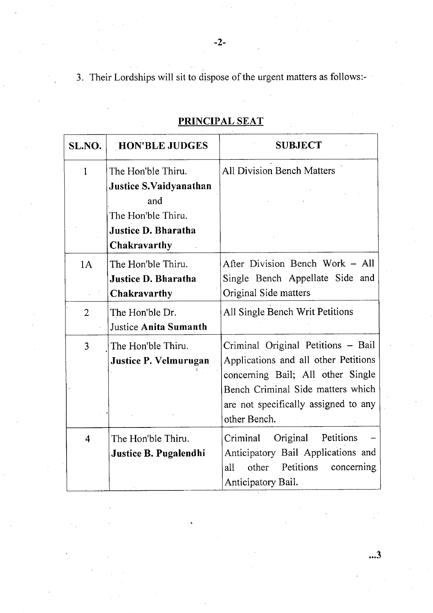3. Their Lordships will sit to dispose of the urgent matters as follows:-

| SL.NO.         | <b>HON'BLE JUDGES</b>                                            | <b>SUBJECT</b>                                                                                                                                                                                               |
|----------------|------------------------------------------------------------------|--------------------------------------------------------------------------------------------------------------------------------------------------------------------------------------------------------------|
| 1              | The Hon'ble Thiru.<br><b>Justice S.Vaidyanathan</b>              | <b>All Division Bench Matters</b>                                                                                                                                                                            |
|                | and<br>The Hon'ble Thiru.                                        |                                                                                                                                                                                                              |
|                | Justice D. Bharatha<br>Chakravarthy                              |                                                                                                                                                                                                              |
| 1A             | The Hon'ble Thiru.<br><b>Justice D. Bharatha</b><br>Chakravarthy | After Division Bench Work - All<br>Single Bench Appellate Side and<br>Original Side matters                                                                                                                  |
| $\overline{2}$ | The Hon'ble Dr.<br><b>Justice Anita Sumanth</b>                  | All Single Bench Writ Petitions                                                                                                                                                                              |
| 3              | The Hon'ble Thiru.<br>Justice P. Velmurugan                      | Criminal Original Petitions - Bail<br>Applications and all other Petitions<br>concerning Bail; All other Single<br>Bench Criminal Side matters which<br>are not specifically assigned to any<br>other Bench. |
| $\overline{4}$ | The Hon'ble Thiru.<br>Justice B. Pugalendhi                      | Original<br>Petitions<br>Criminal<br>Anticipatory Bail Applications and<br>Petitions<br>other<br>concerning<br>all<br>Anticipatory Bail.                                                                     |

## PRINCIPAL SEAT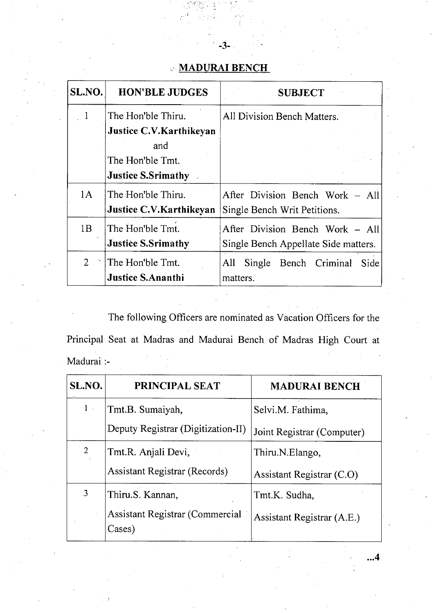## **MADURAI BENCH**

-3-

| SL.NO.         | <b>HON'BLE JUDGES</b>                                                                                        | <b>SUBJECT</b>                                                          |
|----------------|--------------------------------------------------------------------------------------------------------------|-------------------------------------------------------------------------|
|                | The Hon'ble Thiru.<br><b>Justice C.V.Karthikeyan</b><br>and<br>The Hon'ble Tmt.<br><b>Justice S.Srimathy</b> | All Division Bench Matters.                                             |
| 1A             | The Hon'ble Thiru.<br><b>Justice C.V. Karthikeyan</b>                                                        | After Division Bench Work – All<br>Single Bench Writ Petitions.         |
| 1B             | The Hon'ble Tmt.<br><b>Justice S.Srimathy</b>                                                                | After Division Bench Work - All<br>Single Bench Appellate Side matters. |
| 2 <sup>1</sup> | The Hon'ble Tmt.<br><b>Justice S.Ananthi</b>                                                                 | All<br>Single<br>Bench Criminal<br>Side<br>matters.                     |

The following Officers are nominated as Vacation Officers for the Principal Seat at Madras and Madurai Bench of Madras High Court at Madurai :-

| SL.NO.                  | PRINCIPAL SEAT                            | <b>MADURAI BENCH</b>       |
|-------------------------|-------------------------------------------|----------------------------|
| $1$ .                   | Tmt.B. Sumaiyah,                          | Selvi.M. Fathima,          |
|                         | Deputy Registrar (Digitization-II)        | Joint Registrar (Computer) |
| $\overline{2}$          | Tmt.R. Anjali Devi,                       | Thiru.N.Elango,            |
|                         | <b>Assistant Registrar (Records)</b>      | Assistant Registrar (C.O)  |
| $\overline{\mathbf{3}}$ | Thiru.S. Kannan,                          | Tmt.K. Sudha,              |
|                         | Assistant Registrar (Commercial<br>Cases) | Assistant Registrar (A.E.) |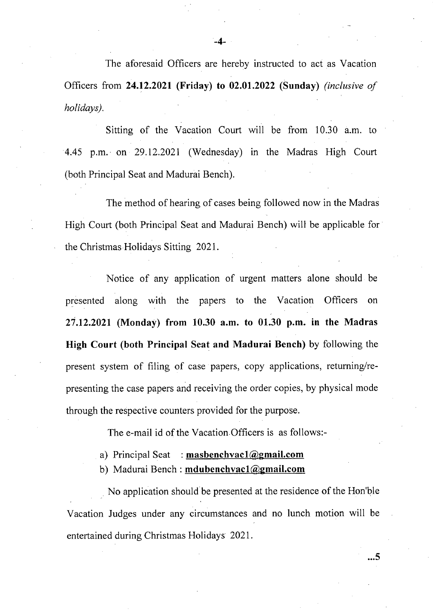The aforesaid Officers are hereby instructed to act as Vacation Officers from **24.12.2021 (Friday) to 02.01.2022 (Sunday)** *(inclusive of holidays).* 

Sitting of the Vacation Court will be from 10.30 a.m. to 4.45 p.m. on 29.12.2021 (Wednesday) in the Madras High Court (both Principal Seat and Madurai Bench).

The method of hearing of cases being followed now in the Madras High Court (both Principal Seat and Madurai Bench) will be applicable for the Christmas Holidays Sitting 2021.

Notice of any application of urgent matters alone should be presented along with the papers to the Vacation Officers on **27.12.2021 (Monday) from 10.30 a.m. to 01.30 p.m. in the Madras High Court (both Principal Seat and Madurai Bench)** by following the present system of filing of case papers, copy applications, returning/representing the case papers and receiving the order copies, by physical mode through the respective counters provided for the purpose.

The e-mail id of the Vacation Officers is as follows:-

- Principal Seat : **masbenchvacl@gmail.com**
- Madurai Bench: **mdubenchvacl@gmail.com**

No application should be presented at the residence of the Hon'ble Vacation Judges under any circumstances and no lunch motion will be entertained during Christmas Holidays 2021.